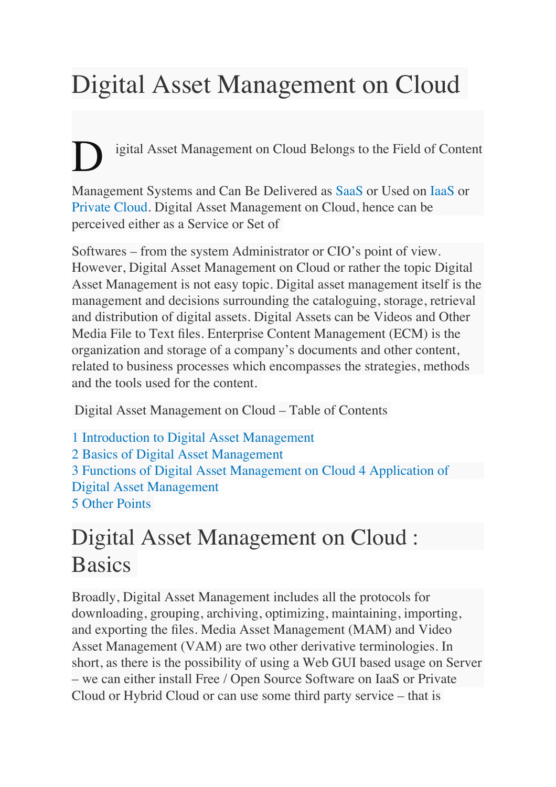# Digital Asset Management on Cloud

igital Asset Management on Cloud Belongs to the Field of Content

Management Systems and Can Be Delivered as SaaS or Used on IaaS or Private Cloud. Digital Asset Management on Cloud, hence can be perceived either as a Service or Set of

Softwares – from the system Administrator or CIO's point of view. However, Digital Asset Management on Cloud or rather the topic Digital Asset Management is not easy topic. Digital asset management itself is the management and decisions surrounding the cataloguing, storage, retrieval and distribution of digital assets. Digital Assets can be Videos and Other Media File to Text files. Enterprise Content Management (ECM) is the organization and storage of a company's documents and other content, related to business processes which encompasses the strategies, methods and the tools used for the content.

Digital Asset Management on Cloud – Table of Contents

1 Introduction to Digital Asset Management 2 Basics of Digital Asset Management 3 Functions of Digital Asset Management on Cloud 4 Application of Digital Asset Management 5 Other Points

## Digital Asset Management on Cloud : **Basics**

Broadly, Digital Asset Management includes all the protocols for downloading, grouping, archiving, optimizing, maintaining, importing, and exporting the files. Media Asset Management (MAM) and Video Asset Management (VAM) are two other derivative terminologies. In short, as there is the possibility of using a Web GUI based usage on Server – we can either install Free / Open Source Software on IaaS or Private Cloud or Hybrid Cloud or can use some third party service – that is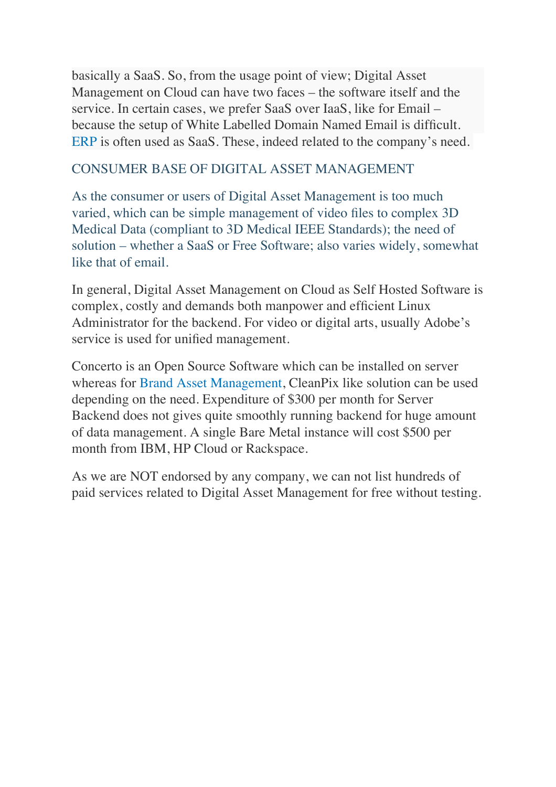basically a SaaS. So, from the usage point of view; Digital Asset Management on Cloud can have two faces – the software itself and the service. In certain cases, we prefer SaaS over IaaS, like for Email – because the setup of White Labelled Domain Named Email is difficult. ERP is often used as SaaS. These, indeed related to the company's need.

#### CONSUMER BASE OF DIGITAL ASSET MANAGEMENT

As the consumer or users of Digital Asset Management is too much varied, which can be simple management of video files to complex 3D Medical Data (compliant to 3D Medical IEEE Standards); the need of solution – whether a SaaS or Free Software; also varies widely, somewhat like that of email.

In general, Digital Asset Management on Cloud as Self Hosted Software is complex, costly and demands both manpower and efficient Linux Administrator for the backend. For video or digital arts, usually Adobe's service is used for unified management.

Concerto is an Open Source Software which can be installed on server whereas for Brand Asset Management, CleanPix like solution can be used depending on the need. Expenditure of \$300 per month for Server Backend does not gives quite smoothly running backend for huge amount of data management. A single Bare Metal instance will cost \$500 per month from IBM, HP Cloud or Rackspace.

As we are NOT endorsed by any company, we can not list hundreds of paid services related to Digital Asset Management for free without testing.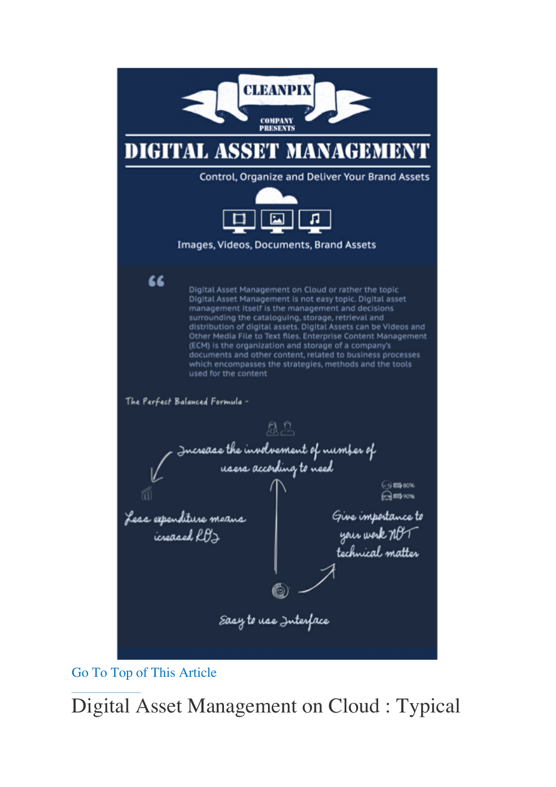

Go To Top of This Article

Digital Asset Management on Cloud : Typical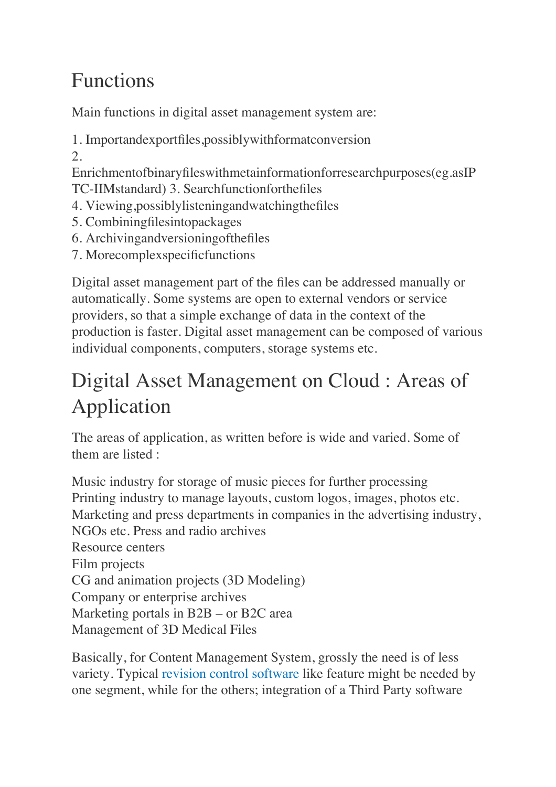#### Functions

Main functions in digital asset management system are:

1. Importandexportfiles,possiblywithformatconversion 2.

Enrichmentofbinaryfileswithmetainformationforresearchpurposes(eg.asIP TC-IIMstandard) 3. Searchfunctionforthefiles

- 4. Viewing,possiblylisteningandwatchingthefiles
- 5. Combiningfilesintopackages
- 6. Archivingandversioningofthefiles
- 7. Morecomplexspecificfunctions

Digital asset management part of the files can be addressed manually or automatically. Some systems are open to external vendors or service providers, so that a simple exchange of data in the context of the production is faster. Digital asset management can be composed of various individual components, computers, storage systems etc.

### Digital Asset Management on Cloud : Areas of Application

The areas of application, as written before is wide and varied. Some of them are listed :

Music industry for storage of music pieces for further processing Printing industry to manage layouts, custom logos, images, photos etc. Marketing and press departments in companies in the advertising industry, NGOs etc. Press and radio archives Resource centers Film projects CG and animation projects (3D Modeling) Company or enterprise archives Marketing portals in B2B – or B2C area Management of 3D Medical Files

Basically, for Content Management System, grossly the need is of less variety. Typical revision control software like feature might be needed by one segment, while for the others; integration of a Third Party software